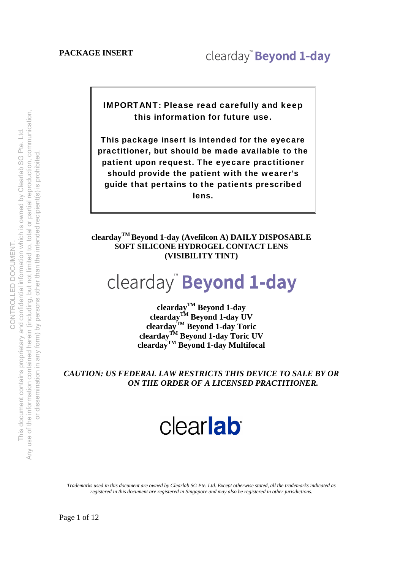IMPORTANT: Please read carefully and keep this information for future use.

This package insert is intended for the eyecare practitioner, but should be made available to the patient upon request. The eyecare practitioner should provide the patient with the wearer's guide that pertains to the patients prescribed lens.

**cleardayTM Beyond 1-day (Avefilcon A) DAILY DISPOSABLE SOFT SILICONE HYDROGEL CONTACT LENS (VISIBILITY TINT)**

## clearday<sup>"</sup> Beyond 1-day

**cleardayTM Beyond 1-day cleardayTM Beyond 1-day UV cleardayTM Beyond 1-day Toric cleardayTM Beyond 1-day Toric UV cleardayTM Beyond 1-day Multifocal** 

*CAUTION: US FEDERAL LAW RESTRICTS THIS DEVICE TO SALE BY OR ON THE ORDER OF A LICENSED PRACTITIONER.* 

# clearlab

*Trademarks used in this document are owned by Clearlab SG Pte. Ltd. Except otherwise stated, all the trademarks indicated as registered in this document are registered in Singapore and may also be registered in other jurisdictions.*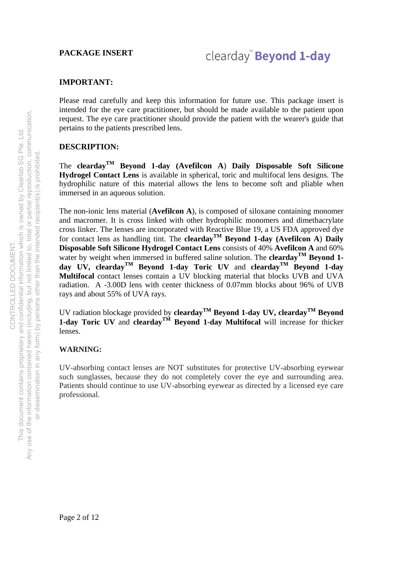### **IMPORTANT:**

Please read carefully and keep this information for future use. This package insert is intended for the eye care practitioner, but should be made available to the patient upon request. The eye care practitioner should provide the patient with the wearer's guide that pertains to the patients prescribed lens.

### **DESCRIPTION:**

The **cleardayTM Beyond 1-day (Avefilcon A**) **Daily Disposable Soft Silicone Hydrogel Contact Lens** is available in spherical, toric and multifocal lens designs. The hydrophilic nature of this material allows the lens to become soft and pliable when immersed in an aqueous solution.

The non-ionic lens material (**Avefilcon A**), is composed of siloxane containing monomer and macromer. It is cross linked with other hydrophilic monomers and dimethacrylate cross linker. The lenses are incorporated with Reactive Blue 19, a US FDA approved dye for contact lens as handling tint. The **cleardayTM Beyond 1-day (Avefilcon A**) **Daily Disposable Soft Silicone Hydrogel Contact Lens** consists of 40% **Avefilcon A** and 60% water by weight when immersed in buffered saline solution. The **clearday**<sup>TM</sup> Beyond 1**day UV, cleardayTM Beyond 1-day Toric UV** and **cleardayTM Beyond 1-day Multifocal** contact lenses contain a UV blocking material that blocks UVB and UVA radiation. A -3.00D lens with center thickness of 0.07mm blocks about 96% of UVB rays and about 55% of UVA rays.

UV radiation blockage provided by **cleardayTM Beyond 1-day UV, cleardayTM Beyond 1-day Toric UV** and **cleardayTM Beyond 1-day Multifocal** will increase for thicker lenses.

### **WARNING:**

UV-absorbing contact lenses are NOT substitutes for protective UV-absorbing eyewear such sunglasses, because they do not completely cover the eye and surrounding area. Patients should continue to use UV-absorbing eyewear as directed by a licensed eye care professional.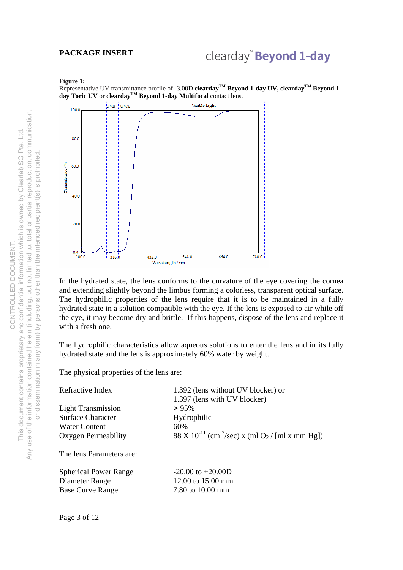### clearday" Beyond 1-day

#### **Figure 1:**

Representative UV transmittance profile of -3.00D **cleardayTM Beyond 1-day UV, cleardayTM Beyond 1 day Toric UV** or **cleardayTM Beyond 1-day Multifocal** contact lens.



In the hydrated state, the lens conforms to the curvature of the eye covering the cornea and extending slightly beyond the limbus forming a colorless, transparent optical surface. The hydrophilic properties of the lens require that it is to be maintained in a fully hydrated state in a solution compatible with the eye. If the lens is exposed to air while off the eye, it may become dry and brittle. If this happens, dispose of the lens and replace it with a fresh one.

The hydrophilic characteristics allow aqueous solutions to enter the lens and in its fully hydrated state and the lens is approximately 60% water by weight.

The physical properties of the lens are:

| Refractive Index                   | 1.392 (lens without UV blocker) or<br>1.397 (lens with UV blocker)                 |
|------------------------------------|------------------------------------------------------------------------------------|
| <b>Light Transmission</b>          | $> 95\%$                                                                           |
| Surface Character<br>Water Content | Hydrophilic<br>60%                                                                 |
| Oxygen Permeability                | 88 X 10 <sup>-11</sup> (cm <sup>2</sup> /sec) x (ml O <sub>2</sub> / [ml x mm Hg]) |
| The lens Parameters are:           |                                                                                    |
| <b>Spherical Power Range</b>       | $-20.00$ to $+20.00$ D                                                             |
| Diameter Range                     | 12.00 to 15.00 mm                                                                  |
| <b>Base Curve Range</b>            | 7.80 to 10.00 mm                                                                   |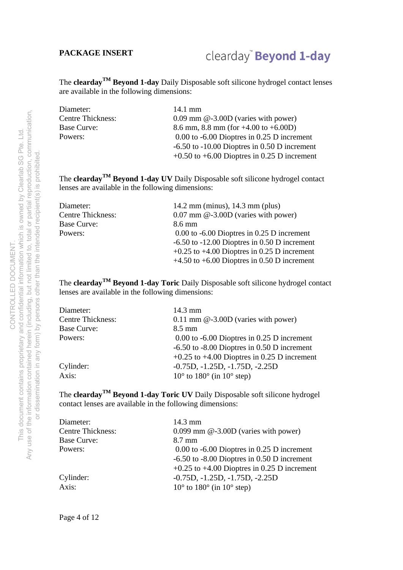### clearday" Beyond 1-day

The **cleardayTM Beyond 1-day** Daily Disposable soft silicone hydrogel contact lenses are available in the following dimensions:

| Diameter:                | 14.1 mm                                          |
|--------------------------|--------------------------------------------------|
| <b>Centre Thickness:</b> | $0.09$ mm $@-3.00D$ (varies with power)          |
| Base Curve:              | 8.6 mm, 8.8 mm (for $+4.00$ to $+6.00D$ )        |
| Powers:                  | $0.00$ to $-6.00$ Dioptres in 0.25 D increment   |
|                          | $-6.50$ to $-10.00$ Dioptres in 0.50 D increment |
|                          | $+0.50$ to $+6.00$ Dioptres in 0.25 D increment  |

The **cleardayTM Beyond 1-day UV** Daily Disposable soft silicone hydrogel contact lenses are available in the following dimensions:

| Diameter:                | 14.2 mm (minus), $14.3$ mm (plus)                |
|--------------------------|--------------------------------------------------|
| <b>Centre Thickness:</b> | $0.07$ mm $@-3.00D$ (varies with power)          |
| Base Curve:              | 8.6 mm                                           |
| Powers:                  | $0.00$ to $-6.00$ Dioptres in 0.25 D increment   |
|                          | $-6.50$ to $-12.00$ Dioptres in 0.50 D increment |
|                          | $+0.25$ to $+4.00$ Dioptres in 0.25 D increment  |
|                          | $+4.50$ to $+6.00$ Dioptres in 0.50 D increment  |

The **cleardayTM Beyond 1-day Toric** Daily Disposable soft silicone hydrogel contact lenses are available in the following dimensions:

| 14.3 mm                                              |  |  |  |
|------------------------------------------------------|--|--|--|
| $0.11$ mm $@-3.00D$ (varies with power)              |  |  |  |
| $8.5 \text{ mm}$                                     |  |  |  |
| $0.00$ to $-6.00$ Dioptres in 0.25 D increment       |  |  |  |
| $-6.50$ to $-8.00$ Dioptres in 0.50 D increment      |  |  |  |
| $+0.25$ to $+4.00$ Dioptres in 0.25 D increment      |  |  |  |
| $-0.75D, -1.25D, -1.75D, -2.25D$                     |  |  |  |
| $10^{\circ}$ to $180^{\circ}$ (in $10^{\circ}$ step) |  |  |  |
|                                                      |  |  |  |

The **cleardayTM Beyond 1-day Toric UV** Daily Disposable soft silicone hydrogel contact lenses are available in the following dimensions:

| $14.3 \text{ mm}$                                    |  |  |  |
|------------------------------------------------------|--|--|--|
| $0.099$ mm $@-3.00D$ (varies with power)             |  |  |  |
| 8.7 mm                                               |  |  |  |
| $0.00$ to $-6.00$ Dioptres in 0.25 D increment       |  |  |  |
| $-6.50$ to $-8.00$ Dioptres in 0.50 D increment      |  |  |  |
| $+0.25$ to $+4.00$ Dioptres in 0.25 D increment      |  |  |  |
| $-0.75D, -1.25D, -1.75D, -2.25D$                     |  |  |  |
| $10^{\circ}$ to $180^{\circ}$ (in $10^{\circ}$ step) |  |  |  |
|                                                      |  |  |  |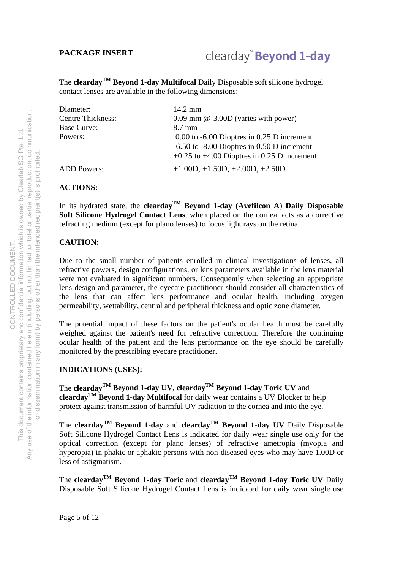### clearday<sup>®</sup> Beyond 1-day

The **cleardayTM Beyond 1-day Multifocal** Daily Disposable soft silicone hydrogel contact lenses are available in the following dimensions:

| Diameter:                | $14.2 \text{ mm}$                               |
|--------------------------|-------------------------------------------------|
| <b>Centre Thickness:</b> | $0.09$ mm $@-3.00D$ (varies with power)         |
| <b>Base Curve:</b>       | 8.7 mm                                          |
| Powers:                  | $0.00$ to $-6.00$ Dioptres in 0.25 D increment  |
|                          | $-6.50$ to $-8.00$ Dioptres in 0.50 D increment |
|                          | $+0.25$ to $+4.00$ Dioptres in 0.25 D increment |
| <b>ADD</b> Powers:       | $+1.00D, +1.50D, +2.00D, +2.50D$                |

#### **ACTIONS:**

In its hydrated state, the **clearday**<sup>TM</sup> Beyond 1-day (Avefilcon A) Daily Disposable **Soft Silicone Hydrogel Contact Lens**, when placed on the cornea, acts as a corrective refracting medium (except for plano lenses) to focus light rays on the retina.

#### **CAUTION:**

Due to the small number of patients enrolled in clinical investigations of lenses, all refractive powers, design configurations, or lens parameters available in the lens material were not evaluated in significant numbers. Consequently when selecting an appropriate lens design and parameter, the eyecare practitioner should consider all characteristics of the lens that can affect lens performance and ocular health, including oxygen permeability, wettability, central and peripheral thickness and optic zone diameter.

The potential impact of these factors on the patient's ocular health must be carefully weighed against the patient's need for refractive correction. Therefore the continuing ocular health of the patient and the lens performance on the eye should be carefully monitored by the prescribing eyecare practitioner.

#### **INDICATIONS (USES):**

The **clearday**<sup>TM</sup> Beyond 1-day UV, clearday<sup>TM</sup> Beyond 1-day Toric UV and **cleardayTM Beyond 1-day Multifocal** for daily wear contains a UV Blocker to help protect against transmission of harmful UV radiation to the cornea and into the eye.

The **cleardayTM Beyond 1-day** and **cleardayTM Beyond 1-day UV** Daily Disposable Soft Silicone Hydrogel Contact Lens is indicated for daily wear single use only for the optical correction (except for plano lenses) of refractive ametropia (myopia and hyperopia) in phakic or aphakic persons with non-diseased eyes who may have 1.00D or less of astigmatism.

The **cleardayTM Beyond 1-day Toric** and **cleardayTM Beyond 1-day Toric UV** Daily Disposable Soft Silicone Hydrogel Contact Lens is indicated for daily wear single use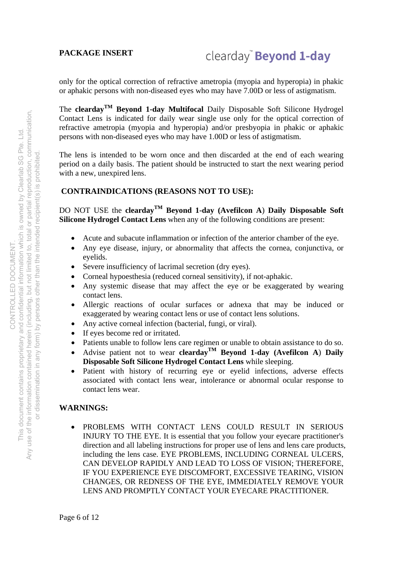### clearday<sup>®</sup> Beyond 1-day

only for the optical correction of refractive ametropia (myopia and hyperopia) in phakic or aphakic persons with non-diseased eyes who may have 7.00D or less of astigmatism.

The **cleardayTM Beyond 1-day Multifocal** Daily Disposable Soft Silicone Hydrogel Contact Lens is indicated for daily wear single use only for the optical correction of refractive ametropia (myopia and hyperopia) and/or presbyopia in phakic or aphakic persons with non-diseased eyes who may have 1.00D or less of astigmatism.

The lens is intended to be worn once and then discarded at the end of each wearing period on a daily basis. The patient should be instructed to start the next wearing period with a new, unexpired lens.

### **CONTRAINDICATIONS (REASONS NOT TO USE):**

DO NOT USE the **cleardayTM Beyond 1-day (Avefilcon A**) **Daily Disposable Soft Silicone Hydrogel Contact Lens** when any of the following conditions are present:

- Acute and subacute inflammation or infection of the anterior chamber of the eye.
- Any eye disease, injury, or abnormality that affects the cornea, conjunctiva, or eyelids.
- Severe insufficiency of lacrimal secretion (dry eyes).
- Corneal hypoesthesia (reduced corneal sensitivity), if not-aphakic.
- Any systemic disease that may affect the eye or be exaggerated by wearing contact lens.
- Allergic reactions of ocular surfaces or adnexa that may be induced or exaggerated by wearing contact lens or use of contact lens solutions.
- Any active corneal infection (bacterial, fungi, or viral).
- If eyes become red or irritated.
- Patients unable to follow lens care regimen or unable to obtain assistance to do so.
- Advise patient not to wear **clearday<sup>TM</sup> Beyond 1-day** (Avefilcon A) Daily **Disposable Soft Silicone Hydrogel Contact Lens** while sleeping.
- Patient with history of recurring eye or eyelid infections, adverse effects associated with contact lens wear, intolerance or abnormal ocular response to contact lens wear.

### **WARNINGS:**

 PROBLEMS WITH CONTACT LENS COULD RESULT IN SERIOUS INJURY TO THE EYE. It is essential that you follow your eyecare practitioner's direction and all labeling instructions for proper use of lens and lens care products, including the lens case. EYE PROBLEMS, INCLUDING CORNEAL ULCERS, CAN DEVELOP RAPIDLY AND LEAD TO LOSS OF VISION; THEREFORE, IF YOU EXPERIENCE EYE DISCOMFORT, EXCESSIVE TEARING, VISION CHANGES, OR REDNESS OF THE EYE, IMMEDIATELY REMOVE YOUR LENS AND PROMPTLY CONTACT YOUR EYECARE PRACTITIONER.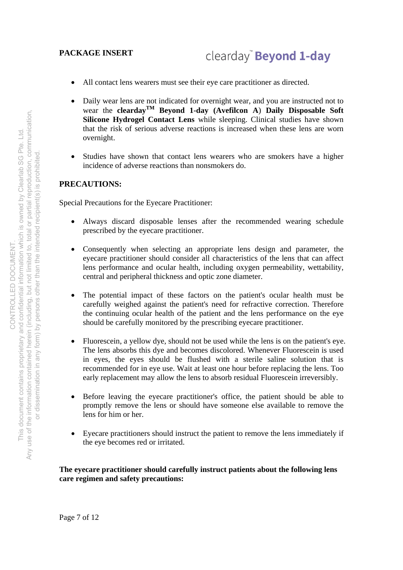- All contact lens wearers must see their eye care practitioner as directed.
- Daily wear lens are not indicated for overnight wear, and you are instructed not to wear the **cleardayTM Beyond 1-day (Avefilcon A**) **Daily Disposable Soft Silicone Hydrogel Contact Lens** while sleeping. Clinical studies have shown that the risk of serious adverse reactions is increased when these lens are worn overnight.
- Studies have shown that contact lens wearers who are smokers have a higher incidence of adverse reactions than nonsmokers do.

### **PRECAUTIONS:**

Special Precautions for the Eyecare Practitioner:

- Always discard disposable lenses after the recommended wearing schedule prescribed by the eyecare practitioner.
- Consequently when selecting an appropriate lens design and parameter, the eyecare practitioner should consider all characteristics of the lens that can affect lens performance and ocular health, including oxygen permeability, wettability, central and peripheral thickness and optic zone diameter.
- The potential impact of these factors on the patient's ocular health must be carefully weighed against the patient's need for refractive correction. Therefore the continuing ocular health of the patient and the lens performance on the eye should be carefully monitored by the prescribing eyecare practitioner.
- Fluorescein, a yellow dye, should not be used while the lens is on the patient's eye. The lens absorbs this dye and becomes discolored. Whenever Fluorescein is used in eyes, the eyes should be flushed with a sterile saline solution that is recommended for in eye use. Wait at least one hour before replacing the lens. Too early replacement may allow the lens to absorb residual Fluorescein irreversibly.
- Before leaving the eyecare practitioner's office, the patient should be able to promptly remove the lens or should have someone else available to remove the lens for him or her.
- Eyecare practitioners should instruct the patient to remove the lens immediately if the eye becomes red or irritated.

### **The eyecare practitioner should carefully instruct patients about the following lens care regimen and safety precautions:**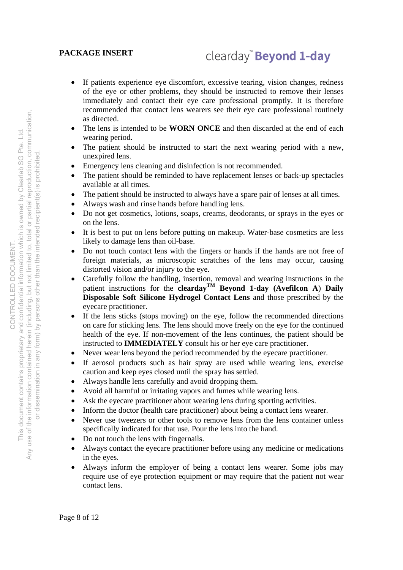### clearday<sup>®</sup> Beyond 1-day

- If patients experience eye discomfort, excessive tearing, vision changes, redness of the eye or other problems, they should be instructed to remove their lenses immediately and contact their eye care professional promptly. It is therefore recommended that contact lens wearers see their eye care professional routinely as directed.
- The lens is intended to be **WORN ONCE** and then discarded at the end of each wearing period.
- The patient should be instructed to start the next wearing period with a new, unexpired lens.
- Emergency lens cleaning and disinfection is not recommended.
- The patient should be reminded to have replacement lenses or back-up spectacles available at all times.
- The patient should be instructed to always have a spare pair of lenses at all times.
- Always wash and rinse hands before handling lens.
- Do not get cosmetics, lotions, soaps, creams, deodorants, or sprays in the eyes or on the lens.
- It is best to put on lens before putting on makeup. Water-base cosmetics are less likely to damage lens than oil-base.
- Do not touch contact lens with the fingers or hands if the hands are not free of foreign materials, as microscopic scratches of the lens may occur, causing distorted vision and/or injury to the eye.
- Carefully follow the handling, insertion, removal and wearing instructions in the patient instructions for the **clearday<sup>TM</sup> Beyond 1-day (Avefilcon A) Daily Disposable Soft Silicone Hydrogel Contact Lens** and those prescribed by the eyecare practitioner.
- If the lens sticks (stops moving) on the eye, follow the recommended directions on care for sticking lens. The lens should move freely on the eye for the continued health of the eye. If non-movement of the lens continues, the patient should be instructed to **IMMEDIATELY** consult his or her eye care practitioner.
- Never wear lens beyond the period recommended by the eyecare practitioner.
- If aerosol products such as hair spray are used while wearing lens, exercise caution and keep eyes closed until the spray has settled.
- Always handle lens carefully and avoid dropping them.
- Avoid all harmful or irritating vapors and fumes while wearing lens.
- Ask the eyecare practitioner about wearing lens during sporting activities.
- Inform the doctor (health care practitioner) about being a contact lens wearer.
- Never use tweezers or other tools to remove lens from the lens container unless specifically indicated for that use. Pour the lens into the hand.
- Do not touch the lens with fingernails.
- Always contact the eyecare practitioner before using any medicine or medications in the eyes.
- Always inform the employer of being a contact lens wearer. Some jobs may require use of eye protection equipment or may require that the patient not wear contact lens.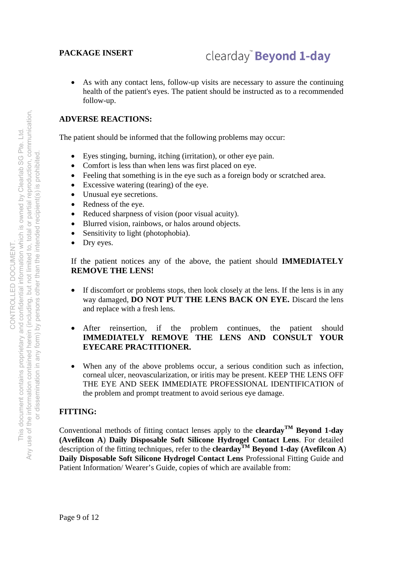### clearday<sup>"</sup> Beyond 1-day

 As with any contact lens, follow-up visits are necessary to assure the continuing health of the patient's eyes. The patient should be instructed as to a recommended follow-up.

### **ADVERSE REACTIONS:**

The patient should be informed that the following problems may occur:

- Eyes stinging, burning, itching (irritation), or other eye pain.
- Comfort is less than when lens was first placed on eye.
- Feeling that something is in the eye such as a foreign body or scratched area.
- Excessive watering (tearing) of the eye.
- Unusual eye secretions.
- Redness of the eye.
- Reduced sharpness of vision (poor visual acuity).
- Blurred vision, rainbows, or halos around objects.
- Sensitivity to light (photophobia).
- Dry eyes.

If the patient notices any of the above, the patient should **IMMEDIATELY REMOVE THE LENS!**

- If discomfort or problems stops, then look closely at the lens. If the lens is in any way damaged, **DO NOT PUT THE LENS BACK ON EYE.** Discard the lens and replace with a fresh lens.
- After reinsertion, if the problem continues, the patient should **IMMEDIATELY REMOVE THE LENS AND CONSULT YOUR EYECARE PRACTITIONER.**
- When any of the above problems occur, a serious condition such as infection, corneal ulcer, neovascularization, or iritis may be present. KEEP THE LENS OFF THE EYE AND SEEK IMMEDIATE PROFESSIONAL IDENTIFICATION of the problem and prompt treatment to avoid serious eye damage.

### **FITTING:**

Conventional methods of fitting contact lenses apply to the **clearday**<sup>TM</sup> Beyond 1-day **(Avefilcon A**) **Daily Disposable Soft Silicone Hydrogel Contact Lens**. For detailed description of the fitting techniques, refer to the **clearday**<sup>TM</sup> Beyond 1-day (Avefilcon A) **Daily Disposable Soft Silicone Hydrogel Contact Lens** Professional Fitting Guide and Patient Information/ Wearer's Guide, copies of which are available from: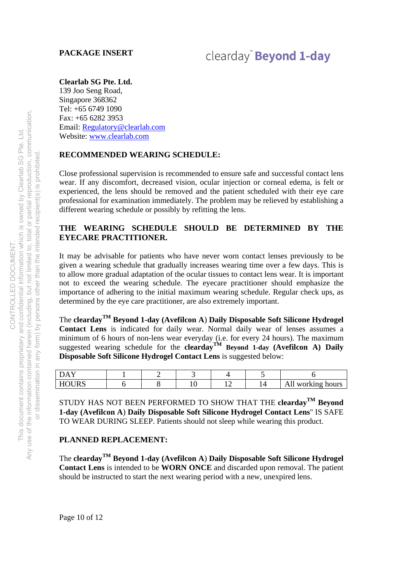### clearday<sup>"</sup> Beyond 1-day

### **Clearlab SG Pte. Ltd.**

139 Joo Seng Road, Singapore 368362 Tel: +65 6749 1090 Fax: +65 6282 3953 Email: Regulatory@clearlab.com Website: www.clearlab.com

### **RECOMMENDED WEARING SCHEDULE:**

Close professional supervision is recommended to ensure safe and successful contact lens wear. If any discomfort, decreased vision, ocular injection or corneal edema, is felt or experienced, the lens should be removed and the patient scheduled with their eye care professional for examination immediately. The problem may be relieved by establishing a different wearing schedule or possibly by refitting the lens.

### **THE WEARING SCHEDULE SHOULD BE DETERMINED BY THE EYECARE PRACTITIONER.**

It may be advisable for patients who have never worn contact lenses previously to be given a wearing schedule that gradually increases wearing time over a few days. This is to allow more gradual adaptation of the ocular tissues to contact lens wear. It is important not to exceed the wearing schedule. The eyecare practitioner should emphasize the importance of adhering to the initial maximum wearing schedule. Regular check ups, as determined by the eye care practitioner, are also extremely important.

The **cleardayTM Beyond 1-day (Avefilcon A**) **Daily Disposable Soft Silicone Hydrogel Contact Lens** is indicated for daily wear. Normal daily wear of lenses assumes a minimum of 6 hours of non-lens wear everyday (i.e. for every 24 hours). The maximum suggested wearing schedule for the **clearday**<sup>TM</sup> Beyond 1-day (Avefilcon A) Daily **Disposable Soft Silicone Hydrogel Contact Lens** is suggested below:

| T T Q T T R Q<br>. |  | . . | orking hours<br>W<br>-<br>. |
|--------------------|--|-----|-----------------------------|

STUDY HAS NOT BEEN PERFORMED TO SHOW THAT THE **cleardayTM Beyond 1-day (Avefilcon A**) **Daily Disposable Soft Silicone Hydrogel Contact Lens**" IS SAFE TO WEAR DURING SLEEP. Patients should not sleep while wearing this product.

### **PLANNED REPLACEMENT:**

The **cleardayTM Beyond 1-day (Avefilcon A**) **Daily Disposable Soft Silicone Hydrogel Contact Lens** is intended to be **WORN ONCE** and discarded upon removal. The patient should be instructed to start the next wearing period with a new, unexpired lens.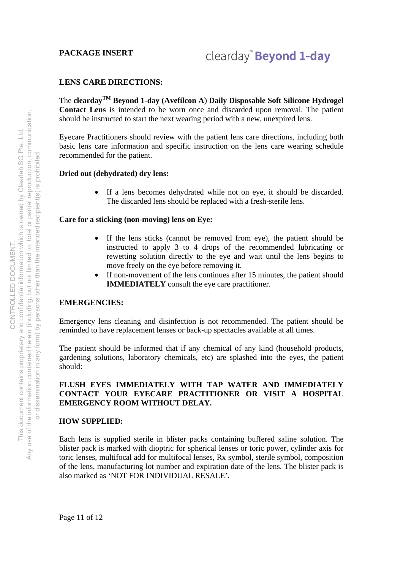### clearday<sup>"</sup> Beyond 1-day

### **LENS CARE DIRECTIONS:**

The **cleardayTM Beyond 1-day (Avefilcon A**) **Daily Disposable Soft Silicone Hydrogel Contact Lens** is intended to be worn once and discarded upon removal. The patient should be instructed to start the next wearing period with a new, unexpired lens.

Eyecare Practitioners should review with the patient lens care directions, including both basic lens care information and specific instruction on the lens care wearing schedule recommended for the patient.

#### **Dried out (dehydrated) dry lens:**

 If a lens becomes dehydrated while not on eye, it should be discarded. The discarded lens should be replaced with a fresh-sterile lens.

#### **Care for a sticking (non-moving) lens on Eye:**

- If the lens sticks (cannot be removed from eye), the patient should be instructed to apply 3 to 4 drops of the recommended lubricating or rewetting solution directly to the eye and wait until the lens begins to move freely on the eye before removing it.
- If non-movement of the lens continues after 15 minutes, the patient should **IMMEDIATELY** consult the eye care practitioner.

### **EMERGENCIES:**

Emergency lens cleaning and disinfection is not recommended. The patient should be reminded to have replacement lenses or back-up spectacles available at all times.

The patient should be informed that if any chemical of any kind (household products, gardening solutions, laboratory chemicals, etc) are splashed into the eyes, the patient should:

### **FLUSH EYES IMMEDIATELY WITH TAP WATER AND IMMEDIATELY CONTACT YOUR EYECARE PRACTITIONER OR VISIT A HOSPITAL EMERGENCY ROOM WITHOUT DELAY.**

#### **HOW SUPPLIED:**

Each lens is supplied sterile in blister packs containing buffered saline solution. The blister pack is marked with dioptric for spherical lenses or toric power, cylinder axis for toric lenses, multifocal add for multifocal lenses, Rx symbol, sterile symbol, composition of the lens, manufacturing lot number and expiration date of the lens. The blister pack is also marked as 'NOT FOR INDIVIDUAL RESALE'.